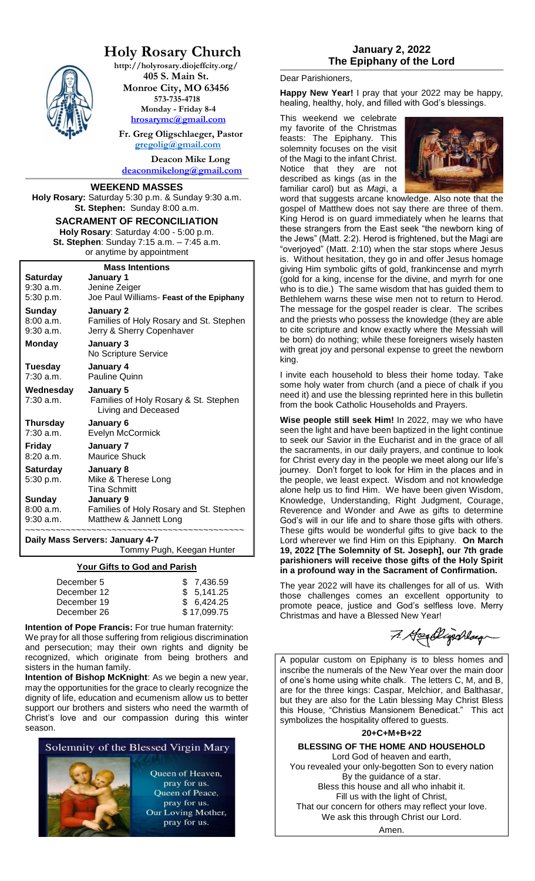

# **Holy Rosary Church**

**http://holyrosary.diojeffcity.org/ 405 S. Main St. Monroe City, MO 63456 573-735-4718 Monday - Friday 8-4** 

**[hrosarymc@gmail.com](mailto:hrosarymc@gmail.com)**

 **Fr. Greg Oligschlaeger, Pastor [gregolig@gmail.com](mailto:gregolig@gmail.com)**

**Deacon Mike Long [deaconmikelong@gmail.com](mailto:deaconmikelong@gmail.com)**

#### **WEEKEND MASSES**

**Holy Rosary:** Saturday 5:30 p.m. & Sunday 9:30 a.m. **St. Stephen:** Sunday 8:00 a.m.

## **SACRAMENT OF RECONCILIATION Holy Rosary**: Saturday 4:00 - 5:00 p.m. **St. Stephen**: Sunday 7:15 a.m. – 7:45 a.m.

or anytime by appointment

| <b>Mass Intentions</b> |                                          |  |  |
|------------------------|------------------------------------------|--|--|
| Saturday               | January 1                                |  |  |
| $9:30$ a.m.            | Jenine Zeiger                            |  |  |
| 5:30 p.m.              | Joe Paul Williams- Feast of the Epiphany |  |  |
| Sunday                 | January 2                                |  |  |
| 8:00a.m.               | Families of Holy Rosary and St. Stephen  |  |  |
| $9:30$ a.m.            | Jerry & Sherry Copenhaver                |  |  |
| Monday                 | January 3                                |  |  |
|                        | No Scripture Service                     |  |  |
| Tuesday                | January 4                                |  |  |
| $7:30$ a.m.            | Pauline Quinn                            |  |  |
| Wednesday              | January 5                                |  |  |
| 7:30 a.m.              | Families of Holy Rosary & St. Stephen    |  |  |
|                        | Living and Deceased                      |  |  |
| Thursday               | January 6                                |  |  |
| $7:30$ a.m.            | Evelyn McCormick                         |  |  |
| Friday                 | January 7                                |  |  |
| 8:20a.m.               | Maurice Shuck                            |  |  |
| Saturday               | January 8                                |  |  |
| 5:30 p.m.              | Mike & Therese Long                      |  |  |
|                        | <b>Tina Schmitt</b>                      |  |  |
| Sunday                 | January 9                                |  |  |
|                        |                                          |  |  |
| 8:00a.m.               | Families of Holy Rosary and St. Stephen  |  |  |
| $9:30$ a.m.            | Matthew & Jannett Long                   |  |  |

Tommy Pugh, Keegan Hunter

#### **Your Gifts to God and Parish**

| December 5  | \$7,436.59  |
|-------------|-------------|
| December 12 | \$5,141.25  |
| December 19 | \$6.424.25  |
| December 26 | \$17,099.75 |

**Intention of Pope Francis:** For true human fraternity: We pray for all those suffering from religious discrimination and persecution; may their own rights and dignity be recognized, which originate from being brothers and sisters in the human family.

**Intention of Bishop McKnight**: As we begin a new year, may the opportunities for the grace to clearly recognize the dignity of life, education and ecumenism allow us to better support our brothers and sisters who need the warmth of Christ's love and our compassion during this winter season.



#### Dear Parishioners,

**Happy New Year!** I pray that your 2022 may be happy, healing, healthy, holy, and filled with God's blessings.

This weekend we celebrate my favorite of the Christmas feasts: The Epiphany. This solemnity focuses on the visit of the Magi to the infant Christ. Notice that they are not described as kings (as in the familiar carol) but as *Mag*i, a



word that suggests arcane knowledge. Also note that the gospel of Matthew does not say there are three of them. King Herod is on guard immediately when he learns that these strangers from the East seek "the newborn king of the Jews" (Matt. 2:2). Herod is frightened, but the Magi are "overjoyed" (Matt. 2:10) when the star stops where Jesus is. Without hesitation, they go in and offer Jesus homage giving Him symbolic gifts of gold, frankincense and myrrh (gold for a king, incense for the divine, and myrrh for one who is to die.) The same wisdom that has guided them to Bethlehem warns these wise men not to return to Herod. The message for the gospel reader is clear. The scribes and the priests who possess the knowledge (they are able to cite scripture and know exactly where the Messiah will be born) do nothing; while these foreigners wisely hasten with great joy and personal expense to greet the newborn king.

I invite each household to bless their home today. Take some holy water from church (and a piece of chalk if you need it) and use the blessing reprinted here in this bulletin from the book Catholic Households and Prayers.

**Wise people still seek Him!** In 2022, may we who have seen the light and have been baptized in the light continue to seek our Savior in the Eucharist and in the grace of all the sacraments, in our daily prayers, and continue to look for Christ every day in the people we meet along our life's journey. Don't forget to look for Him in the places and in the people, we least expect. Wisdom and not knowledge alone help us to find Him. We have been given Wisdom, Knowledge, Understanding, Right Judgment, Courage, Reverence and Wonder and Awe as gifts to determine God's will in our life and to share those gifts with others. These gifts would be wonderful gifts to give back to the Lord wherever we find Him on this Epiphany. **On March 19, 2022 [The Solemnity of St. Joseph], our 7th grade parishioners will receive those gifts of the Holy Spirit in a profound way in the Sacrament of Confirmation.** 

The year 2022 will have its challenges for all of us. With those challenges comes an excellent opportunity to promote peace, justice and God's selfless love. Merry Christmas and have a Blessed New Year!

7. Headlighthay

A popular custom on Epiphany is to bless homes and inscribe the numerals of the New Year over the main door of one's home using white chalk. The letters C, M, and B, are for the three kings: Caspar, Melchior, and Balthasar, but they are also for the Latin blessing May Christ Bless this House, "Christius Mansionem Benedicat." This act symbolizes the hospitality offered to guests.